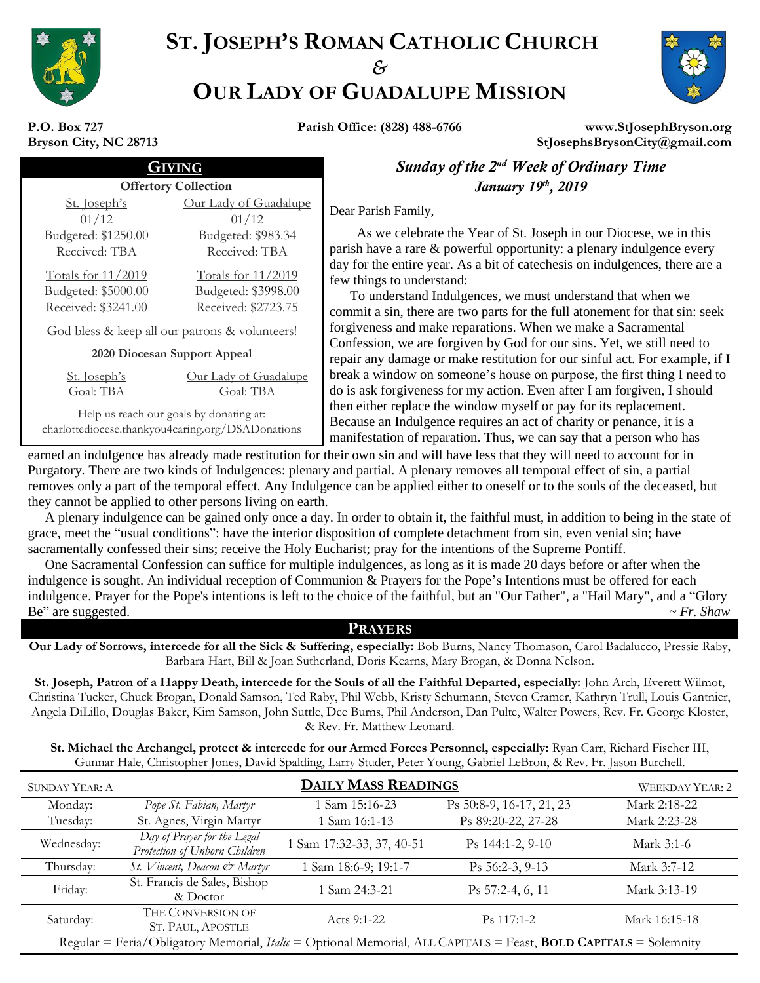

# **ST. JOSEPH'S ROMAN CATHOLIC CHURCH** *&* **OUR LADY OF GUADALUPE MISSION**



**P.O. Box 727 Bryson City, NC 28713**

**Parish Office: (828) 488-6766 www.StJosephBryson.org StJosephsBrysonCity@gmail.com**

| Bryson City, NC 28713                          |                              |  |  |  |
|------------------------------------------------|------------------------------|--|--|--|
| VING                                           |                              |  |  |  |
| <b>Offertory Collection</b>                    |                              |  |  |  |
| St. Joseph's                                   | <u>Our Lady of Guadalupe</u> |  |  |  |
| 01/12                                          | 01/12                        |  |  |  |
| Budgeted: \$1250.00                            | Budgeted: \$983.34           |  |  |  |
| Received: TBA                                  | Received: TBA                |  |  |  |
| <b>Totals for 11/2019</b>                      | Totals for 11/2019           |  |  |  |
| Budgeted: \$5000.00                            | Budgeted: \$3998.00          |  |  |  |
| Received: \$3241.00                            | Received: \$2723.75          |  |  |  |
| God bless & keep all our patrons & volunteers! |                              |  |  |  |
| 2020 Diocesan Support Appeal                   |                              |  |  |  |

**2020 Diocesan Support Appeal**

|           | St. Joseph's |  |
|-----------|--------------|--|
| Goal: TBA |              |  |

Our Lady of Guadalupe Goal: TBA

Help us reach our goals by donating at: charlottediocese.thankyou4caring.org/DSADonations

**Sunday of the 2<sup>nd</sup> Week of Ordinary Time** Offertory Collection *January* 19<sup>th</sup>, 2019

Dear Parish Family,

As we celebrate the Year of St. Joseph in our Diocese, we in this parish have a rare & powerful opportunity: a plenary indulgence every day for the entire year. As a bit of catechesis on indulgences, there are a few things to understand:

To understand Indulgences, we must understand that when we commit a sin, there are two parts for the full atonement for that sin: seek forgiveness and make reparations. When we make a Sacramental Confession, we are forgiven by God for our sins. Yet, we still need to repair any damage or make restitution for our sinful act. For example, if I break a window on someone's house on purpose, the first thing I need to do is ask forgiveness for my action. Even after I am forgiven, I should then either replace the window myself or pay for its replacement. Because an Indulgence requires an act of charity or penance, it is a manifestation of reparation. Thus, we can say that a person who has

earned an indulgence has already made restitution for their own sin and will have less that they will need to account for in Purgatory. There are two kinds of Indulgences: plenary and partial. A plenary removes all temporal effect of sin, a partial removes only a part of the temporal effect. Any Indulgence can be applied either to oneself or to the souls of the deceased, but they cannot be applied to other persons living on earth.

 A plenary indulgence can be gained only once a day. In order to obtain it, the faithful must, in addition to being in the state of grace, meet the "usual conditions": have the interior disposition of complete detachment from sin, even venial sin; have sacramentally confessed their sins; receive the Holy Eucharist; pray for the intentions of the Supreme Pontiff.

 One Sacramental Confession can suffice for multiple indulgences, as long as it is made 20 days before or after when the indulgence is sought. An individual reception of Communion  $\&$  Prayers for the Pope's Intentions must be offered for each indulgence. Prayer for the Pope's intentions is left to the choice of the faithful, but an "Our Father", a "Hail Mary", and a "Glory Be" are suggested.  $\sim Fr. \; Shaw$ 

### **PRAYERS**

**Our Lady of Sorrows, intercede for all the Sick & Suffering, especially:** Bob Burns, Nancy Thomason, Carol Badalucco, Pressie Raby, Barbara Hart, Bill & Joan Sutherland, Doris Kearns, Mary Brogan, & Donna Nelson.

**St. Joseph, Patron of a Happy Death, intercede for the Souls of all the Faithful Departed, especially:** John Arch, Everett Wilmot, Christina Tucker, Chuck Brogan, Donald Samson, Ted Raby, Phil Webb, Kristy Schumann, Steven Cramer, Kathryn Trull, Louis Gantnier, Angela DiLillo, Douglas Baker, Kim Samson, John Suttle, Dee Burns, Phil Anderson, Dan Pulte, Walter Powers, Rev. Fr. George Kloster, & Rev. Fr. Matthew Leonard.

**St. Michael the Archangel, protect & intercede for our Armed Forces Personnel, especially:** Ryan Carr, Richard Fischer III, Gunnar Hale, Christopher Jones, David Spalding, Larry Studer, Peter Young, Gabriel LeBron, & Rev. Fr. Jason Burchell.

| <b>SUNDAY YEAR: A</b>                                                                                            | <b>DAILY MASS READINGS</b><br><b>WEEKDAY YEAR: 2</b>         |                           |                          |               |
|------------------------------------------------------------------------------------------------------------------|--------------------------------------------------------------|---------------------------|--------------------------|---------------|
| Monday:                                                                                                          | Pope St. Fabian, Martyr                                      | 1 Sam 15:16-23            | Ps 50:8-9, 16-17, 21, 23 | Mark 2:18-22  |
| Tuesday:                                                                                                         | St. Agnes, Virgin Martyr                                     | 1 Sam 16:1-13             | Ps 89:20-22, 27-28       | Mark 2:23-28  |
| Wednesday:                                                                                                       | Day of Prayer for the Legal<br>Protection of Unborn Children | 1 Sam 17:32-33, 37, 40-51 | Ps 144:1-2, 9-10         | Mark 3:1-6    |
| Thursday:                                                                                                        | St. Vincent, Deacon & Martyr                                 | 1 Sam 18:6-9; 19:1-7      | $Ps 56:2-3, 9-13$        | Mark 3:7-12   |
| Friday:                                                                                                          | St. Francis de Sales, Bishop<br>& Doctor                     | 1 Sam 24:3-21             | Ps 57:2-4, 6, 11         | Mark 3:13-19  |
| Saturday:                                                                                                        | THE CONVERSION OF<br>ST. PAUL, APOSTLE                       | Acts 9:1-22               | $Ps$ 117:1-2             | Mark 16:15-18 |
| Regular = Feria/Obligatory Memorial, Italic = Optional Memorial, ALL CAPITALS = Feast, BOLD CAPITALS = Solemnity |                                                              |                           |                          |               |